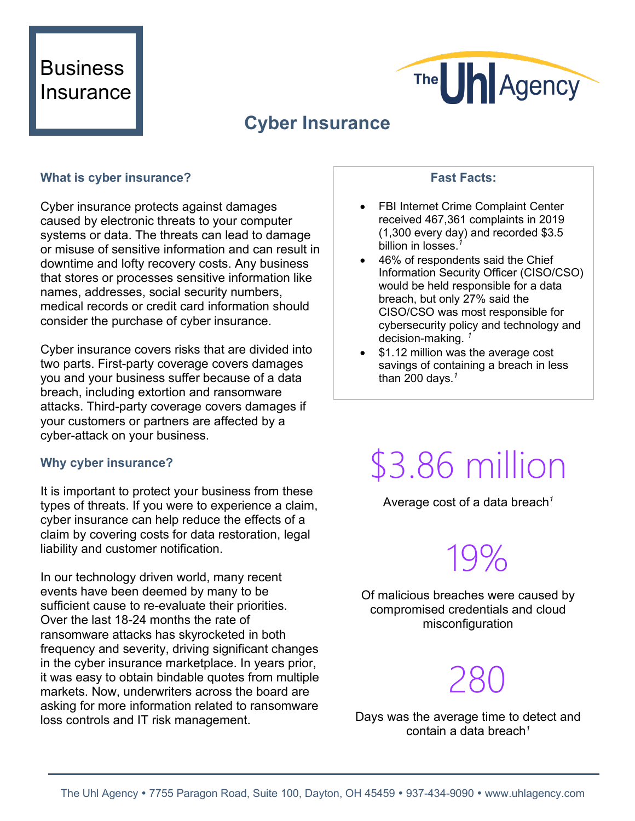### **Business Insurance**



### **Cyber Insurance**

### **What is cyber insurance?**

Cyber insurance protects against damages caused by electronic threats to your computer systems or data. The threats can lead to damage or misuse of sensitive information and can result in downtime and lofty recovery costs. Any business that stores or processes sensitive information like names, addresses, social security numbers, medical records or credit card information should consider the purchase of cyber insurance.

Cyber insurance covers risks that are divided into two parts. First-party coverage covers damages you and your business suffer because of a data breach, including extortion and ransomware attacks. Third-party coverage covers damages if your customers or partners are affected by a cyber-attack on your business.

#### **Why cyber insurance?**

It is important to protect your business from these types of threats. If you were to experience a claim, cyber insurance can help reduce the effects of a claim by covering costs for data restoration, legal liability and customer notification.

In our technology driven world, many recent events have been deemed by many to be sufficient cause to re-evaluate their priorities. Over the last 18-24 months the rate of ransomware attacks has skyrocketed in both frequency and severity, driving significant changes in the cyber insurance marketplace. In years prior, it was easy to obtain bindable quotes from multiple markets. Now, underwriters across the board are asking for more information related to ransomware loss controls and IT risk management.

### **Fast Facts:**

- FBI Internet Crime Complaint Center received 467,361 complaints in 2019 (1,300 every day) and recorded \$3.5 billion in losses.*<sup>1</sup>*
- 46% of respondents said the Chief Information Security Officer (CISO/CSO) would be held responsible for a data breach, but only 27% said the CISO/CSO was most responsible for cybersecurity policy and technology and decision-making.
- \$1.12 million was the average cost savings of containing a breach in less than 200 days. *1*

# \$3.86 million

Average cost of a data breach*<sup>1</sup>*

## 19%

Of malicious breaches were caused by compromised credentials and cloud misconfiguration

## 280

Days was the average time to detect and contain a data breach*<sup>1</sup>*